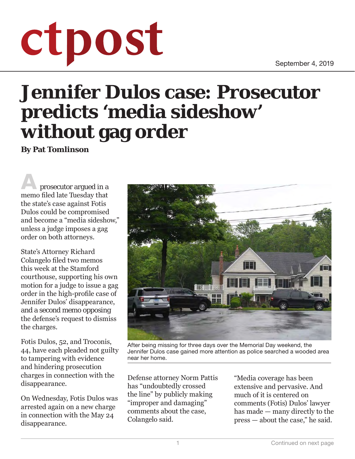September 4, 2019

## ctpost

## **Jennifer Dulos case: Prosecutor predicts 'media sideshow' without gag order**

**By Pat Tomlinson**

**A** prosecutor argued in a memo filed late Tuesday that the state's case against Fotis Dulos could be compromised and become a "media sideshow," unless a judge imposes a gag order on both attorneys.

State's Attorney Richard Colangelo filed two memos this week at the Stamford courthouse, supporting his own motion for a judge to issue a gag order in the high-profile case of Jennifer Dulos' disappearance, and a second memo opposing the defense's request to dismiss the charges.

Fotis Dulos, 52, and Troconis, 44, have each pleaded not guilty to tampering with evidence and hindering prosecution charges in connection with the disappearance.

On Wednesday, Fotis Dulos was arrested again on a new charge in connection with the May 24 disappearance.



After being missing for three days over the Memorial Day weekend, the Jennifer Dulos case gained more attention as police searched a wooded area near her home.

Defense attorney Norm Pattis has "undoubtedly crossed the line" by publicly making "improper and damaging" comments about the case, Colangelo said.

"Media coverage has been extensive and pervasive. And much of it is centered on comments (Fotis) Dulos' lawyer has made — many directly to the press — about the case," he said.